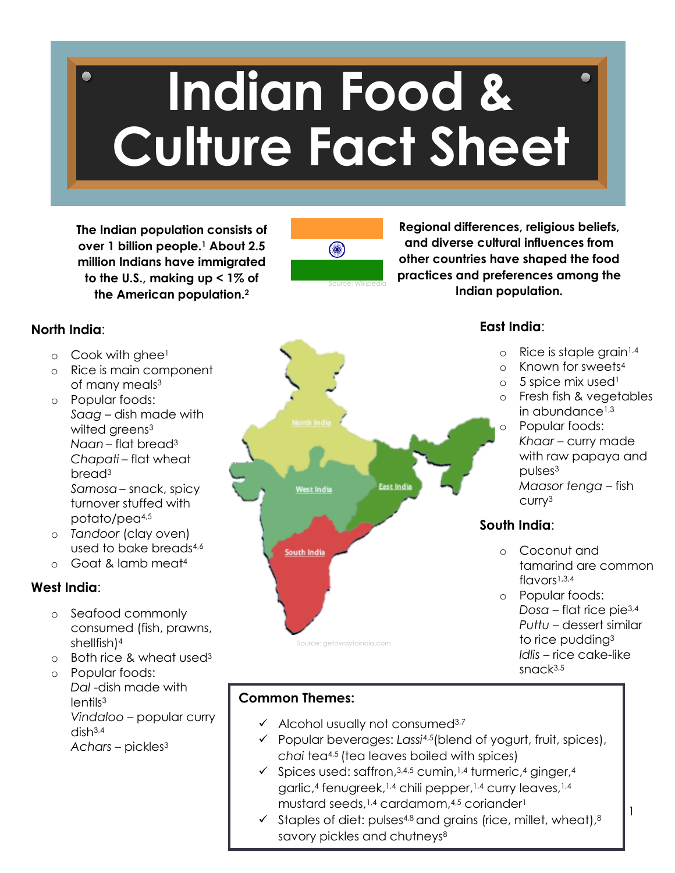# **Indian Food & Culture Fact Sheet**

**The Indian population consists of over 1 billion people.1 About 2.5 million Indians have immigrated to the U.S., making up < 1% of the American population.2**



**Regional differences, religious beliefs, and diverse cultural influences from other countries have shaped the food practices and preferences among the Indian population.**

#### **North India**:

- $\circ$  Cook with ghee<sup>1</sup>
- o Rice is main component of many meals<sup>3</sup>
- o Popular foods: *Saag* – dish made with wilted greens<sup>3</sup> *Naan* – flat bread3 *Chapati* – flat wheat bread3 *Samosa*– snack, spicy turnover stuffed with potato/pea4,5
- o *Tandoor* (clay oven) used to bake breads4,6
- o Goat & lamb meat4

#### **West India**:

- o Seafood commonly consumed (fish, prawns, shellfish)4
- o Both rice & wheat used3
- o Popular foods: *Dal* -dish made with lentils<sup>3</sup> *Vindaloo* – popular curry dish3,4 *Achars* – pickles3



#### **East India**:

- $\circ$  Rice is staple grain<sup>1,4</sup>
- o Known for sweets4
- $\circ$  5 spice mix used<sup>1</sup>
- o Fresh fish & vegetables in abundance<sup>1,3</sup> o Popular foods:
	- Khaar curry made with raw papaya and pulses3 *Maasor tenga* – fish curry3

#### **South India**:

- o Coconut and tamarind are common  $flavors<sup>1,3,4</sup>$
- o Popular foods: *Dosa* – flat rice pie3,4 *Puttu* – dessert similar to rice pudding3 *Idlis* – rice cake-like sn $C<sub>k</sub>3,5$

1

#### **Common Themes:**

- $\checkmark$  Alcohol usually not consumed<sup>3,7</sup>
- Popular beverages: *Lassi*4,5(blend of yogurt, fruit, spices), *chai* tea4,5 (tea leaves boiled with spices)
- $\checkmark$  Spices used: saffron, 3,4,5 cumin, 1,4 turmeric, 4 ginger, 4 garlic, <sup>4</sup> fenugreek, 1,4 chili pepper, 1,4 curry leaves,1,4 mustard seeds,1,4 cardamom, 4,5 coriander1
- $\checkmark$  Staples of diet: pulses<sup>4,8</sup> and grains (rice, millet, wheat), 8 savory pickles and chutneys<sup>8</sup>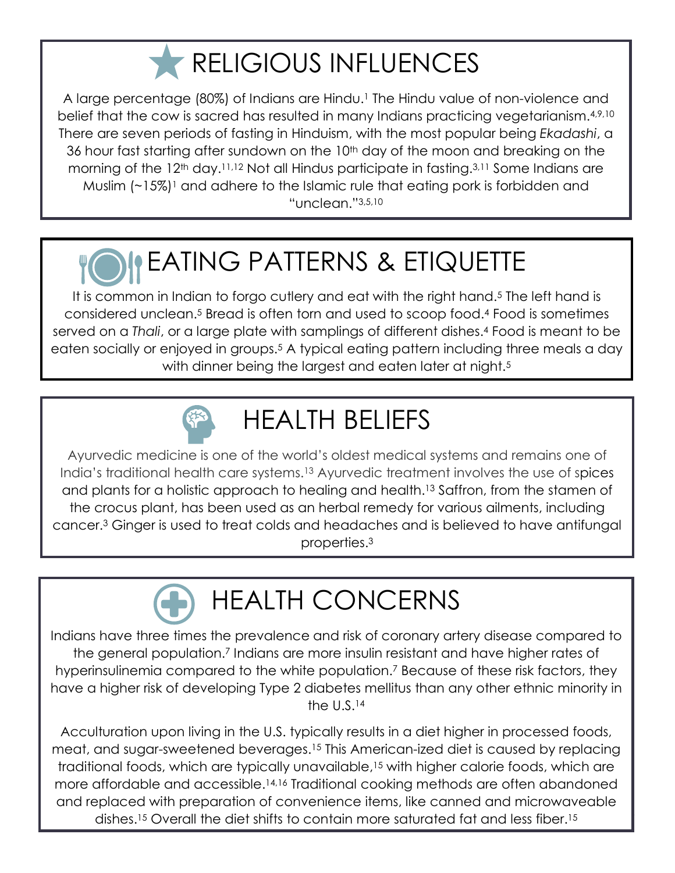### **RELIGIOUS INFLUENCES**

A large percentage (80%) of Indians are Hindu.<sup>1</sup> The Hindu value of non-violence and belief that the cow is sacred has resulted in many Indians practicing vegetarianism.4,9,10 There are seven periods of fasting in Hinduism, with the most popular being *Ekadashi*, a 36 hour fast starting after sundown on the 10<sup>th</sup> day of the moon and breaking on the morning of the 12<sup>th</sup> day.<sup>11,12</sup> Not all Hindus participate in fasting.<sup>3,11</sup> Some Indians are Muslim  $(-15%)$ <sup>1</sup> and adhere to the Islamic rule that eating pork is forbidden and "unclean."3,5,10

## EATING PATTERNS & ETIQUETTE

It is common in Indian to forgo cutlery and eat with the right hand.<sup>5</sup> The left hand is considered unclean.5 Bread is often torn and used to scoop food.4 Food is sometimes served on a *Thali*, or a large plate with samplings of different dishes.4 Food is meant to be eaten socially or enjoyed in groups.5 A typical eating pattern including three meals a day with dinner being the largest and eaten later at night.<sup>5</sup>



### HEALTH BELIEFS

Ayurvedic medicine is one of the world's oldest medical systems and remains one of India's traditional health care systems.13 Ayurvedic treatment involves the use of spices and plants for a holistic approach to healing and health.<sup>13</sup> Saffron, from the stamen of the crocus plant, has been used as an herbal remedy for various ailments, including cancer.3 Ginger is used to treat colds and headaches and is believed to have antifungal properties.3

### HEALTH CONCERNS

Indians have three times the prevalence and risk of coronary artery disease compared to the general population.7 Indians are more insulin resistant and have higher rates of hyperinsulinemia compared to the white population.7 Because of these risk factors, they have a higher risk of developing Type 2 diabetes mellitus than any other ethnic minority in the U.S.14

and replaced with preparation of convenience items, like canned and microwaveable Acculturation upon living in the U.S. typically results in a diet higher in processed foods, meat, and sugar-sweetened beverages.15 This American-ized diet is caused by replacing traditional foods, which are typically unavailable,15 with higher calorie foods, which are more affordable and accessible.14,16 Traditional cooking methods are often abandoned dishes.15 Overall the diet shifts to contain more saturated fat and less fiber.15

2